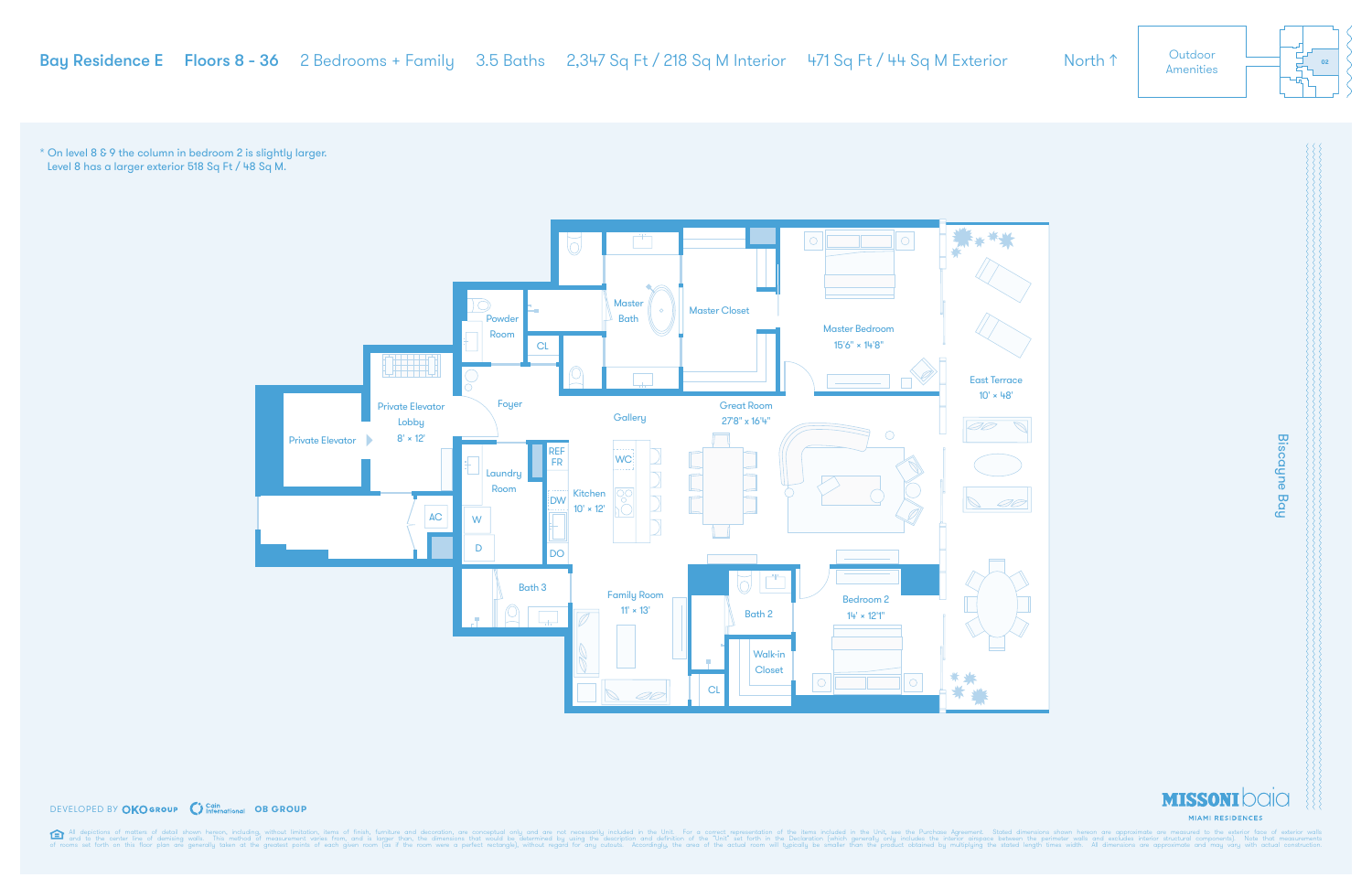

#### **DEVELOPED BY OKOGROUP** C International OB GROUP

All depictions of matters of detail shown hereon, including, without limitation, items of finish, furniture and decoration, are conceptual only and are not necessarily included in the Unit. For a correct representation of

\* On level 8 & 9 the column in bedroom 2 is slightly larger. Level 8 has a larger exterior 518 Sq Ft / 48 Sq M.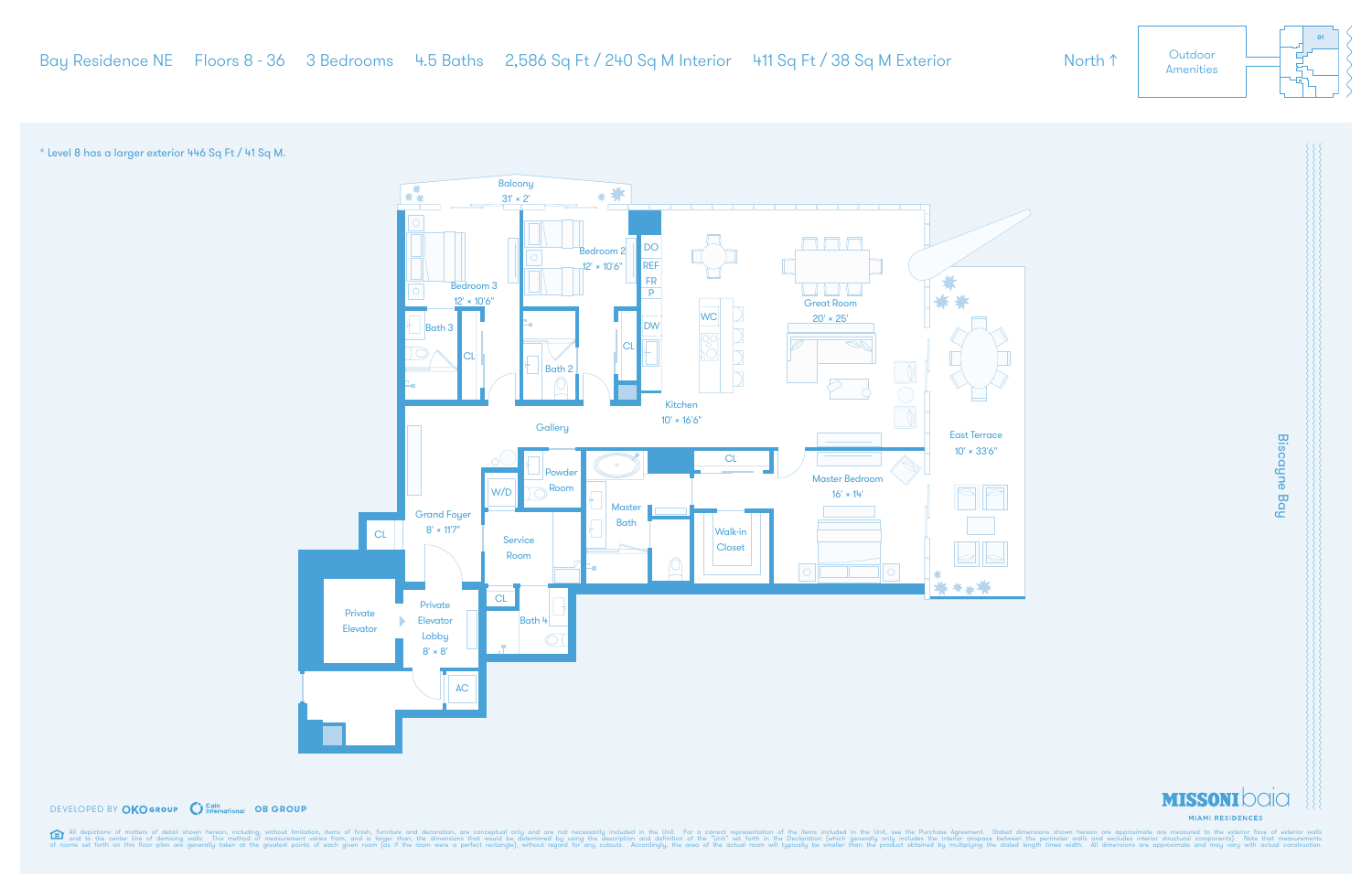\* Level 8 has a larger exterior 446 Sq Ft / 41 Sq M.



## **DEVELOPED BY OKOGROUP** C International OB GROUP

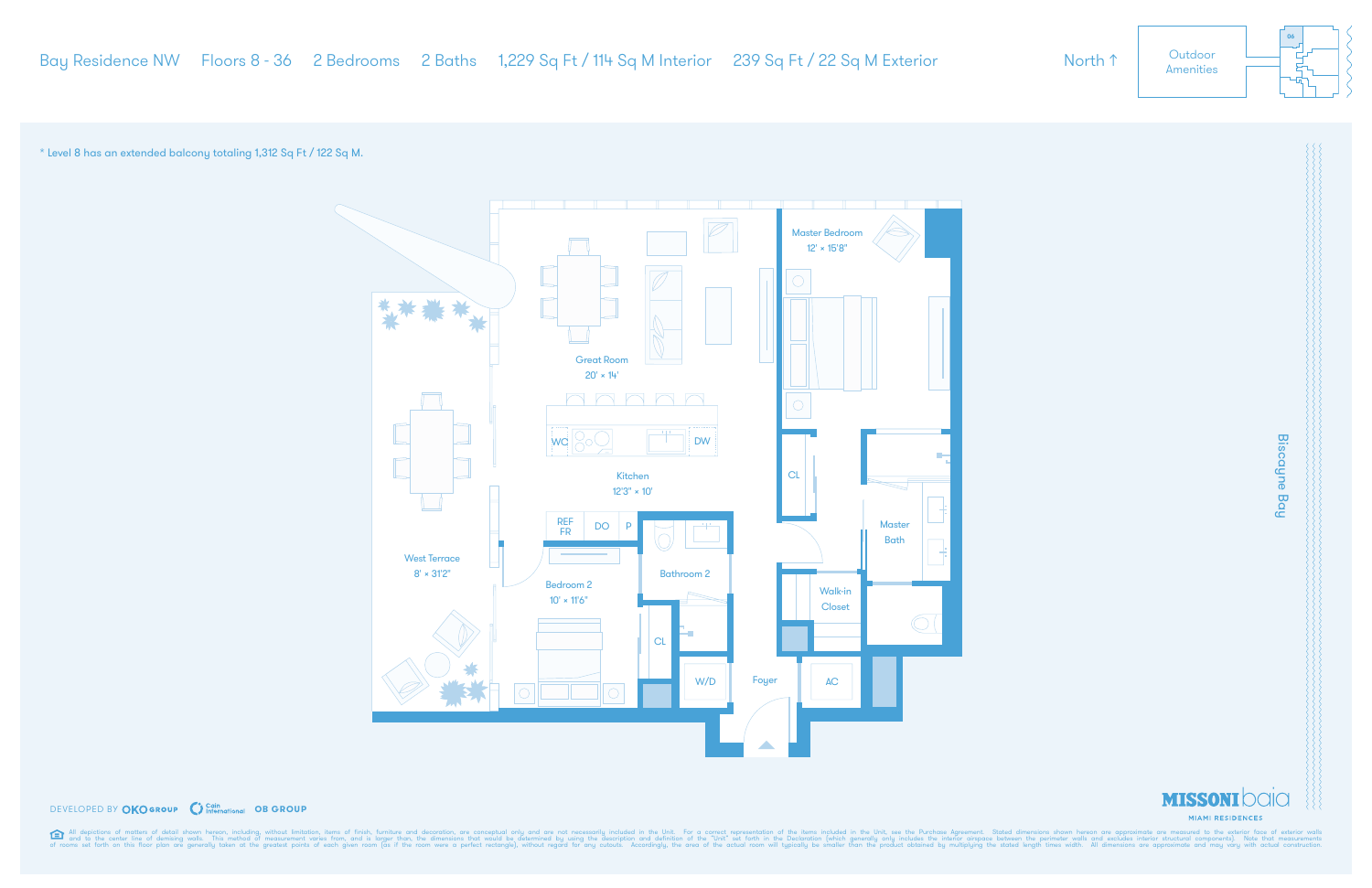# **Biscayne Bay** Biscayne Bay



\* Level 8 has an extended balcony totaling 1,312 Sq Ft / 122 Sq M.



#### **DEVELOPED BY OKOGROUP** C Cain Charactional OB GROUP

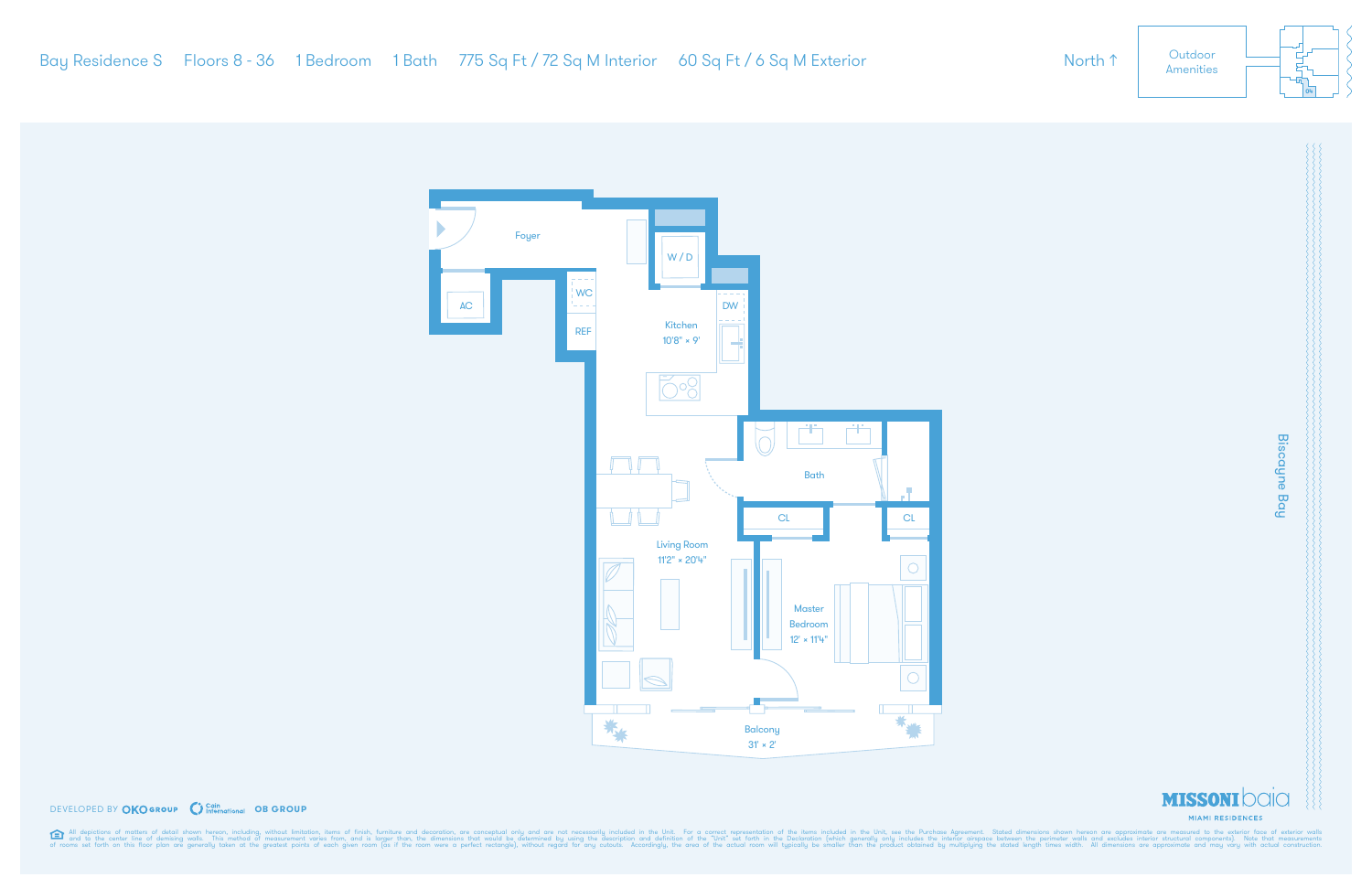

# **Biscayne Bay** Biscayne Bay





**DEVELOPED BY OKOGROUP** C Cain Charactional OB GROUP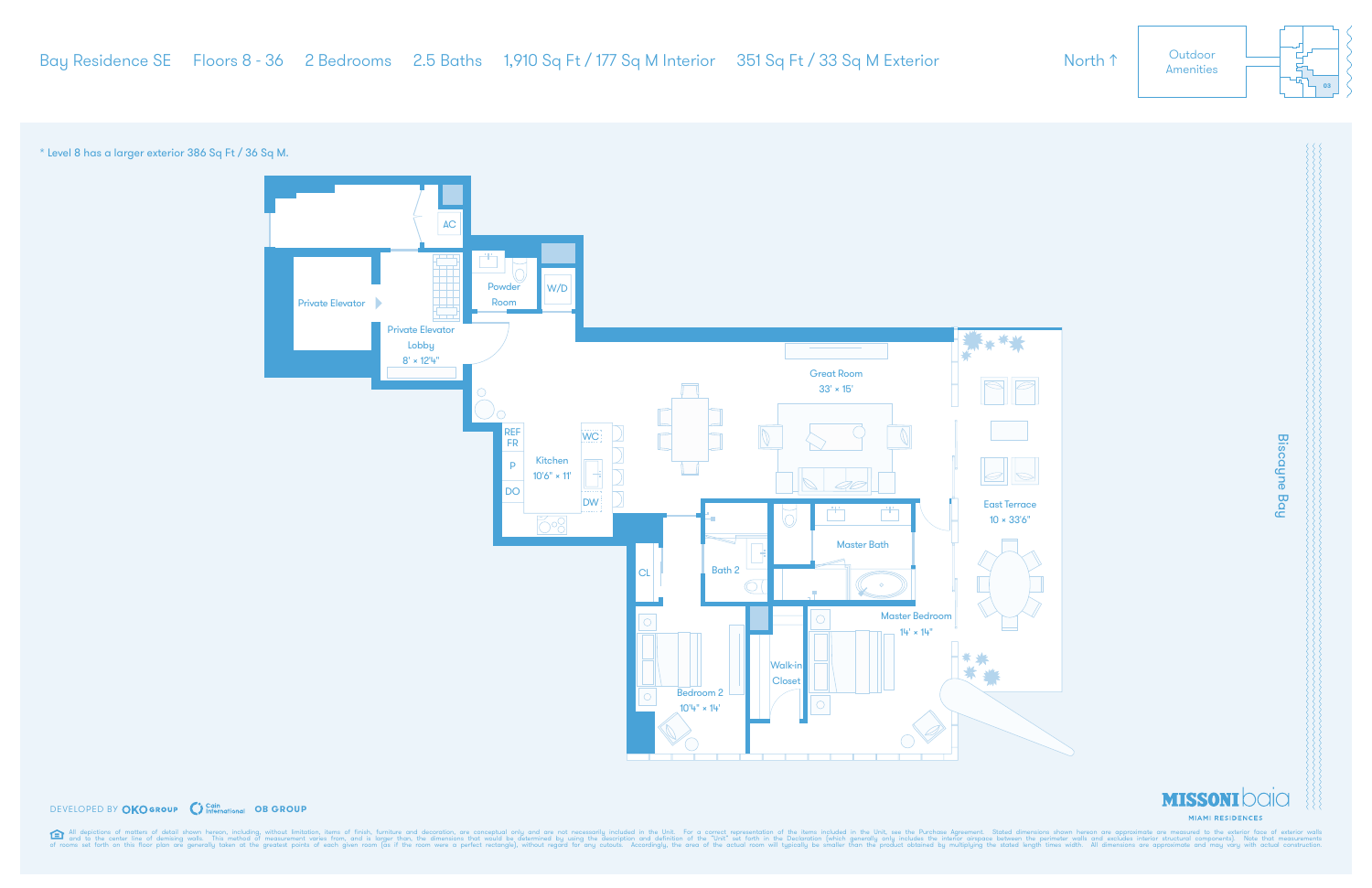\* Level 8 has a larger exterior 386 Sq Ft / 36 Sq M.



#### **DEVELOPED BY OKOGROUP** C Cain Charactional OB GROUP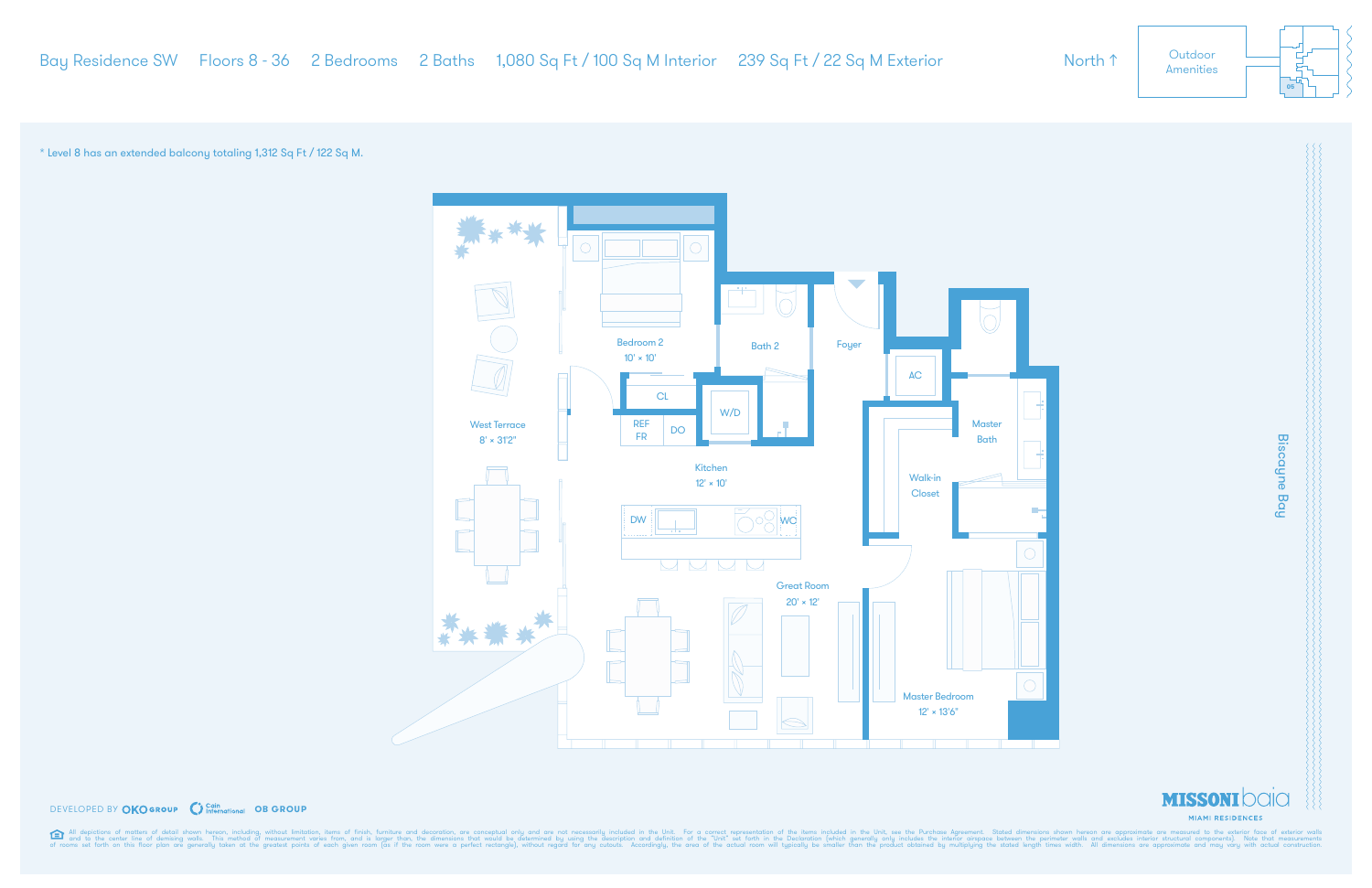

## **DEVELOPED BY OKOGROUP** C Cain Charactional OB GROUP

All depictions of matters of detail shown hereon, including, without limitation, items of finish, furniture and decoration, are conceptual only and are not necessarily included in the Unit. For a correct representation of

\* Level 8 has an extended balcony totaling 1,312 Sq Ft / 122 Sq M.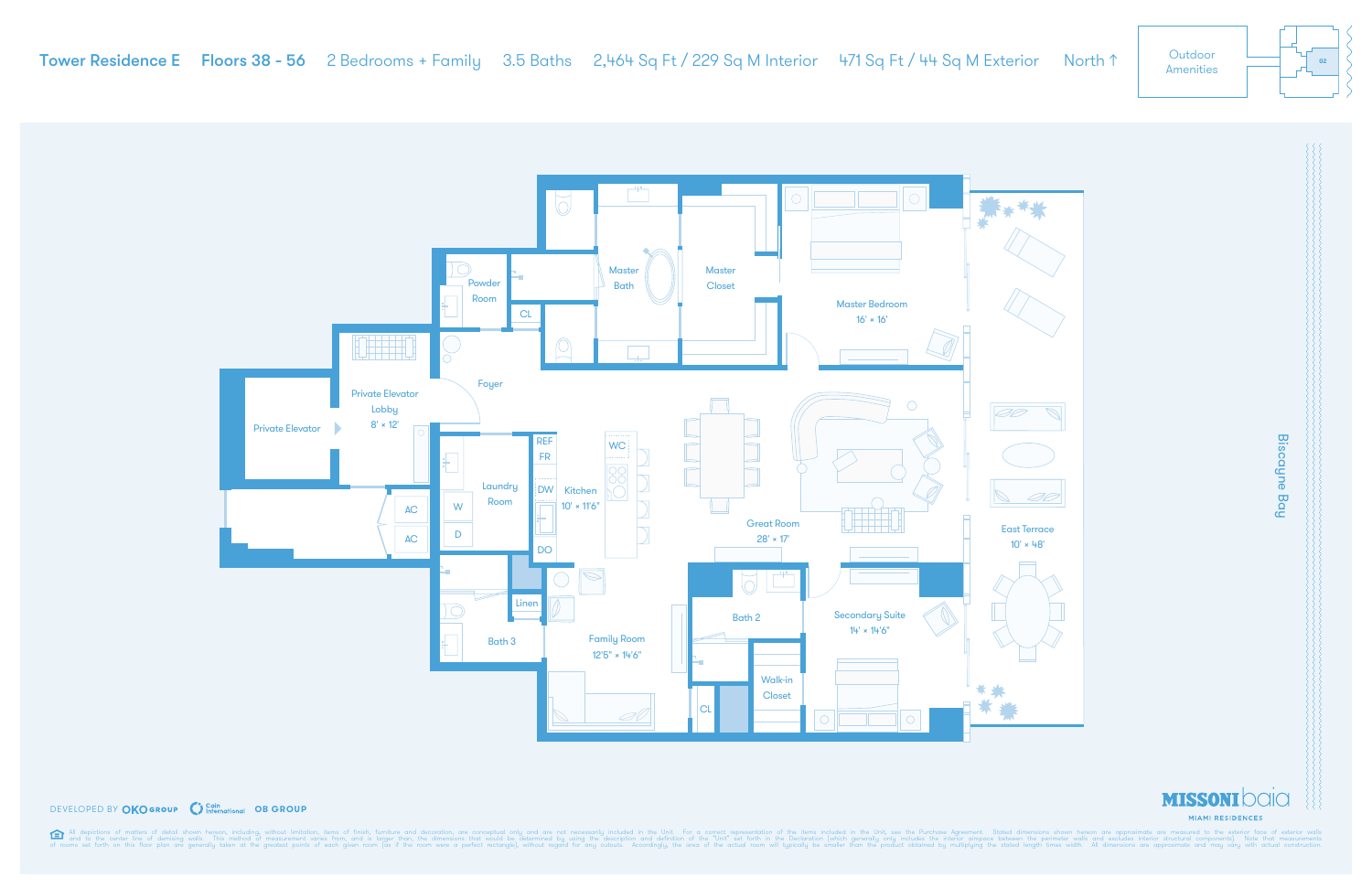



#### **DEVELOPED BY OKOGROUP** C Cain Charactional OB GROUP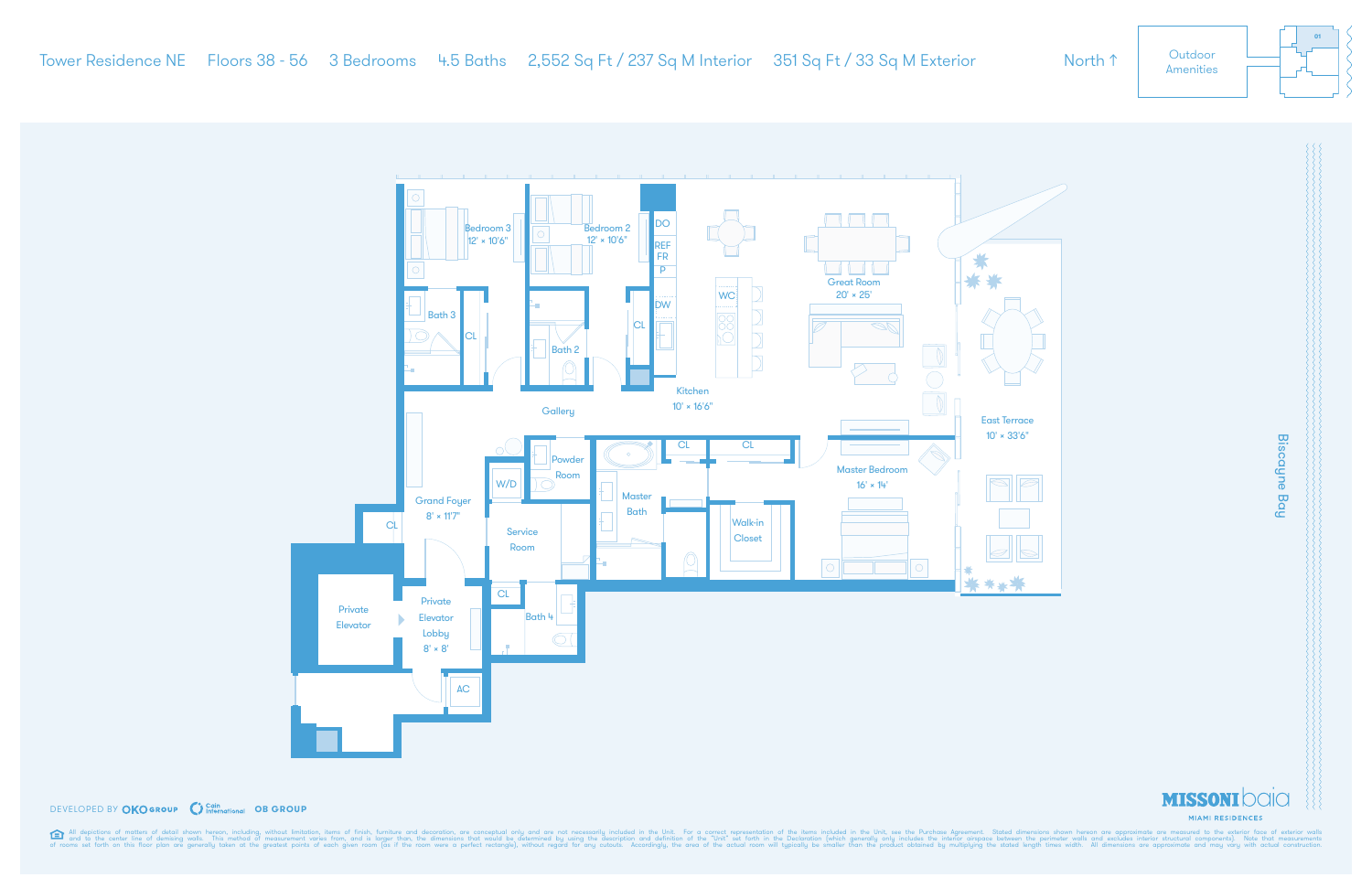

## **DEVELOPED BY OKOGROUP** C International OB GROUP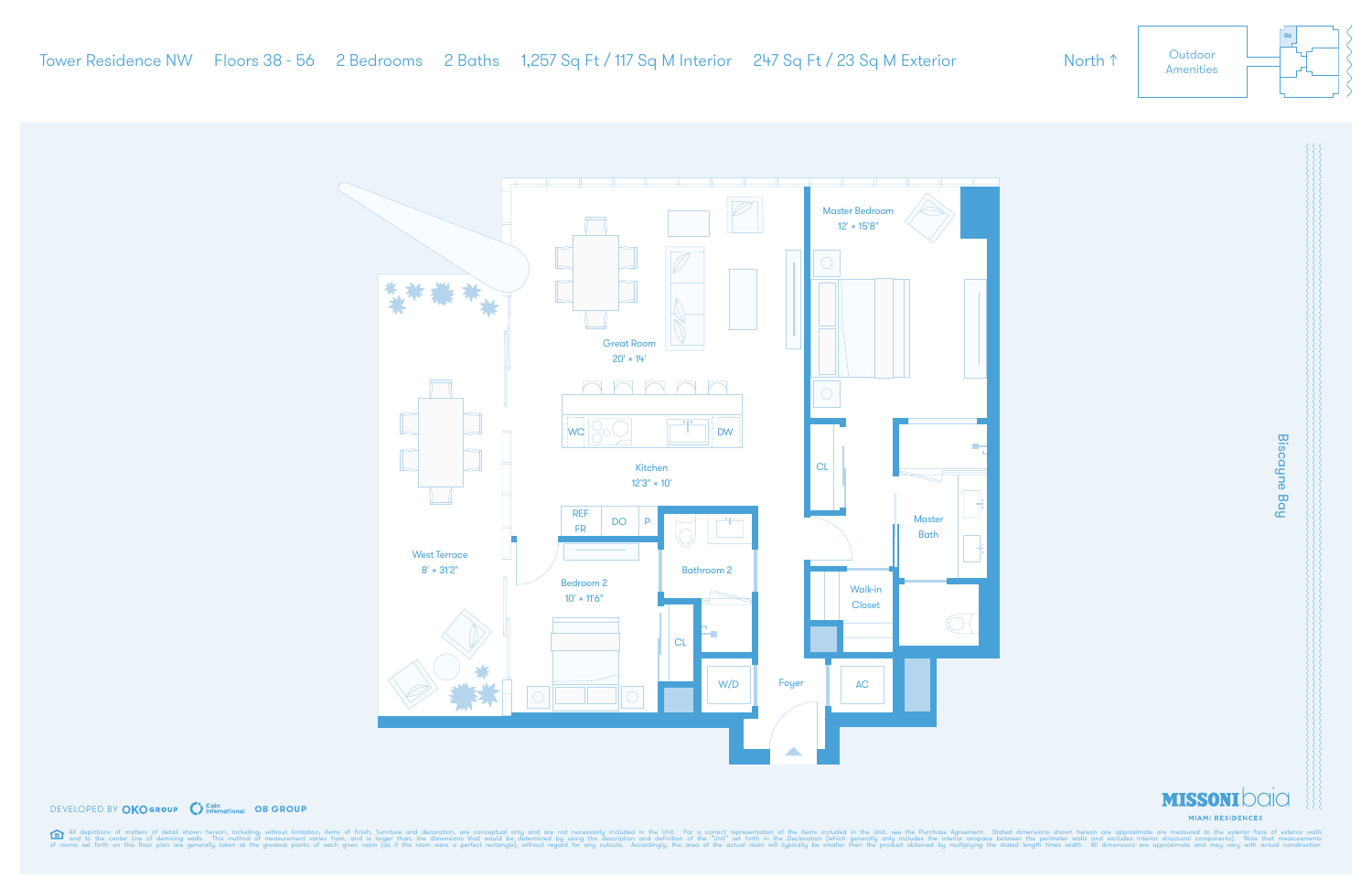**Biscayne Bay** Biscayne Bay







#### **DEVELOPED BY OKOGROUP** C Cain Charactional OB GROUP